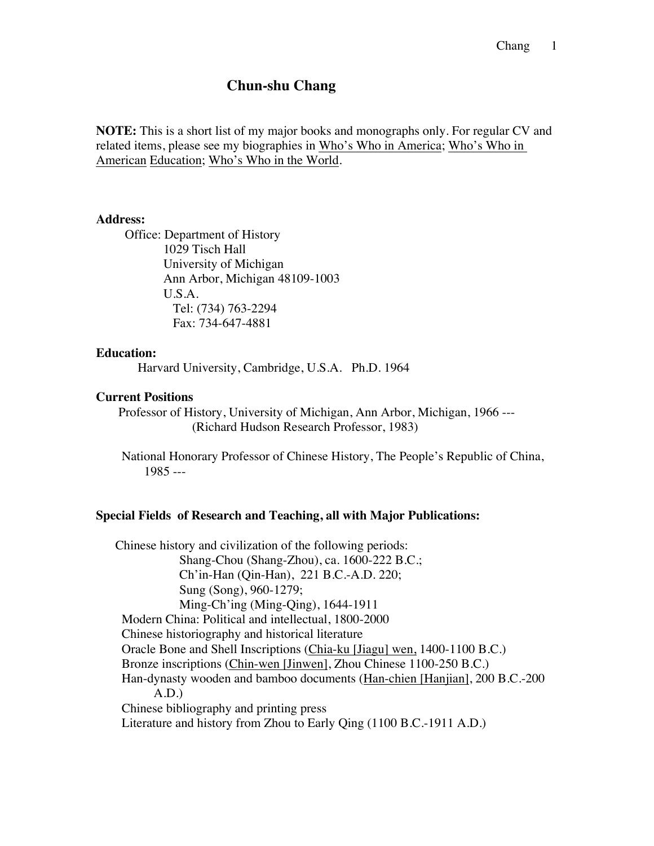# **Chun-shu Chang**

**NOTE:** This is a short list of my major books and monographs only. For regular CV and related items, please see my biographies in Who's Who in America; Who's Who in American Education; Who's Who in the World.

#### **Address:**

 Office: Department of History 1029 Tisch Hall University of Michigan Ann Arbor, Michigan 48109-1003 U.S.A. Tel: (734) 763-2294 Fax: 734-647-4881

### **Education:**

Harvard University, Cambridge, U.S.A. Ph.D. 1964

### **Current Positions**

 Professor of History, University of Michigan, Ann Arbor, Michigan, 1966 --- (Richard Hudson Research Professor, 1983)

 National Honorary Professor of Chinese History, The People's Republic of China, 1985 ---

### **Special Fields of Research and Teaching, all with Major Publications:**

 Chinese history and civilization of the following periods: Shang-Chou (Shang-Zhou), ca. 1600-222 B.C.; Ch'in-Han (Qin-Han), 221 B.C.-A.D. 220; Sung (Song), 960-1279; Ming-Ch'ing (Ming-Qing), 1644-1911 Modern China: Political and intellectual, 1800-2000 Chinese historiography and historical literature Oracle Bone and Shell Inscriptions (Chia-ku [Jiagu] wen, 1400-1100 B.C.) Bronze inscriptions (Chin-wen [Jinwen], Zhou Chinese 1100-250 B.C.) Han-dynasty wooden and bamboo documents (Han-chien [Hanjian], 200 B.C.-200 A.D.) Chinese bibliography and printing press Literature and history from Zhou to Early Qing (1100 B.C.-1911 A.D.)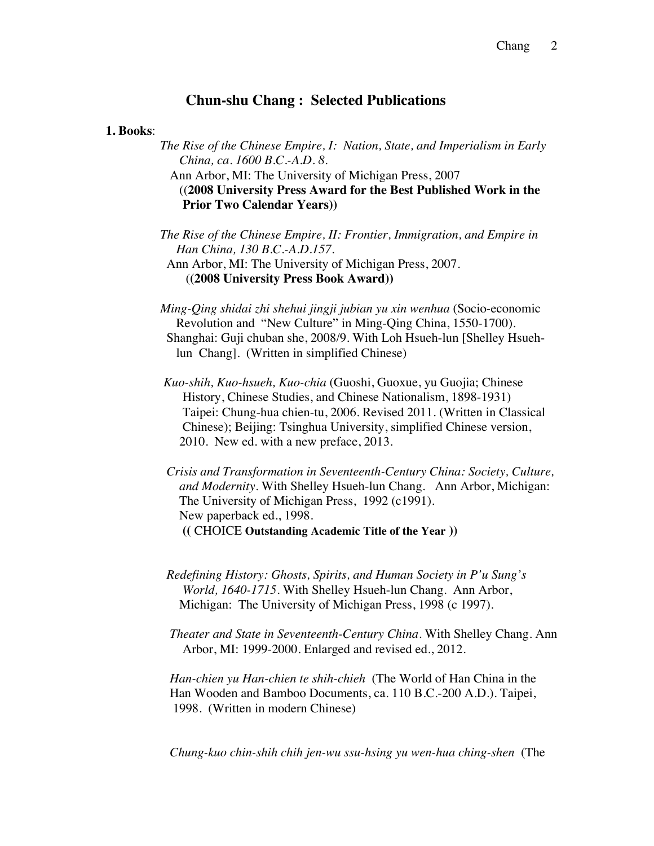# **Chun-shu Chang : Selected Publications**

# **1. Books**:

 *The Rise of the Chinese Empire, I: Nation, State, and Imperialism in Early China, ca. 1600 B.C.-A.D. 8.*

 Ann Arbor, MI: The University of Michigan Press, 2007 ((**2008 University Press Award for the Best Published Work in the Prior Two Calendar Years))**

 *The Rise of the Chinese Empire, II: Frontier, Immigration, and Empire in Han China, 130 B.C.-A.D.157.*

 Ann Arbor, MI: The University of Michigan Press, 2007. (**(2008 University Press Book Award))**

 *Ming-Qing shidai zhi shehui jingji jubian yu xin wenhua* (Socio-economic Revolution and "New Culture" in Ming-Qing China, 1550-1700). Shanghai: Guji chuban she, 2008/9. With Loh Hsueh-lun [Shelley Hsueh lun Chang]. (Written in simplified Chinese)

- *Kuo-shih, Kuo-hsueh, Kuo-chia* (Guoshi, Guoxue, yu Guojia; Chinese History, Chinese Studies, and Chinese Nationalism, 1898-1931) Taipei: Chung-hua chien-tu, 2006. Revised 2011. (Written in Classical Chinese); Beijing: Tsinghua University, simplified Chinese version, 2010. New ed. with a new preface, 2013.
- *Crisis and Transformation in Seventeenth-Century China: Society, Culture, and Modernity.* With Shelley Hsueh-lun Chang. Ann Arbor, Michigan: The University of Michigan Press, 1992 (c1991). New paperback ed., 1998. **((** CHOICE **Outstanding Academic Title of the Year ))**
- *Redefining History: Ghosts, Spirits, and Human Society in P'u Sung's World, 1640-1715*. With Shelley Hsueh-lun Chang. Ann Arbor, Michigan: The University of Michigan Press, 1998 (c 1997).
- *Theater and State in Seventeenth-Century China.* With Shelley Chang. Ann Arbor, MI: 1999-2000. Enlarged and revised ed., 2012.

 *Han-chien yu Han-chien te shih-chieh* (The World of Han China in the Han Wooden and Bamboo Documents, ca. 110 B.C.-200 A.D.). Taipei, 1998. (Written in modern Chinese)

*Chung-kuo chin-shih chih jen-wu ssu-hsing yu wen-hua ching-shen* (The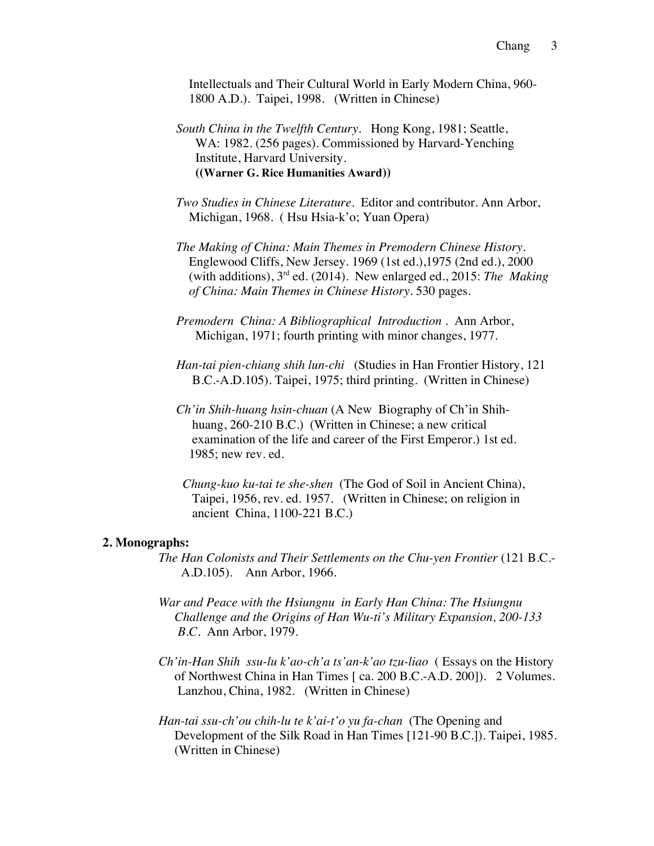Intellectuals and Their Cultural World in Early Modern China, 960- 1800 A.D.). Taipei, 1998. (Written in Chinese)

 *South China in the Twelfth Century.* Hong Kong, 1981; Seattle, WA: 1982. (256 pages). Commissioned by Harvard-Yenching Institute, Harvard University. **((Warner G. Rice Humanities Award))**

 *Two Studies in Chinese Literature*. Editor and contributor. Ann Arbor, Michigan, 1968. ( Hsu Hsia-k'o; Yuan Opera)

 *The Making of China: Main Themes in Premodern Chinese History.* Englewood Cliffs, New Jersey. 1969 (1st ed.),1975 (2nd ed.), 2000 (with additions),  $3^{rd}$  ed. (2014). New enlarged ed., 2015: *The Making of China: Main Themes in Chinese History.* 530 pages.

 *Premodern China: A Bibliographical Introduction* . Ann Arbor, Michigan, 1971; fourth printing with minor changes, 1977.

*Han-tai pien-chiang shih lun-chi* (Studies in Han Frontier History, 121 B.C.-A.D.105). Taipei, 1975; third printing. (Written in Chinese)

 *Ch'in Shih-huang hsin-chuan* (A New Biography of Ch'in Shih huang, 260-210 B.C.) (Written in Chinese; a new critical examination of the life and career of the First Emperor.) 1st ed. 1985; new rev. ed.

 *Chung-kuo ku-tai te she-shen* (The God of Soil in Ancient China), Taipei, 1956, rev. ed. 1957. (Written in Chinese; on religion in ancient China, 1100-221 B.C.)

## **2. Monographs:**

 *The Han Colonists and Their Settlements on the Chu-yen Frontier* (121 B.C.- A.D.105). Ann Arbor, 1966.

- *War and Peace with the Hsiungnu in Early Han China: The Hsiungnu Challenge and the Origins of Han Wu-ti's Military Expansion, 200-133 B.C.* Ann Arbor, 1979.
- *Ch'in-Han Shih ssu-lu k'ao-ch'a ts'an-k'ao tzu-liao* ( Essays on the History of Northwest China in Han Times [ ca. 200 B.C.-A.D. 200]). 2 Volumes. Lanzhou, China, 1982. (Written in Chinese)
- *Han-tai ssu-ch'ou chih-lu te k'ai-t'o yu fa-chan* (The Opening and Development of the Silk Road in Han Times [121-90 B.C.]). Taipei, 1985. (Written in Chinese)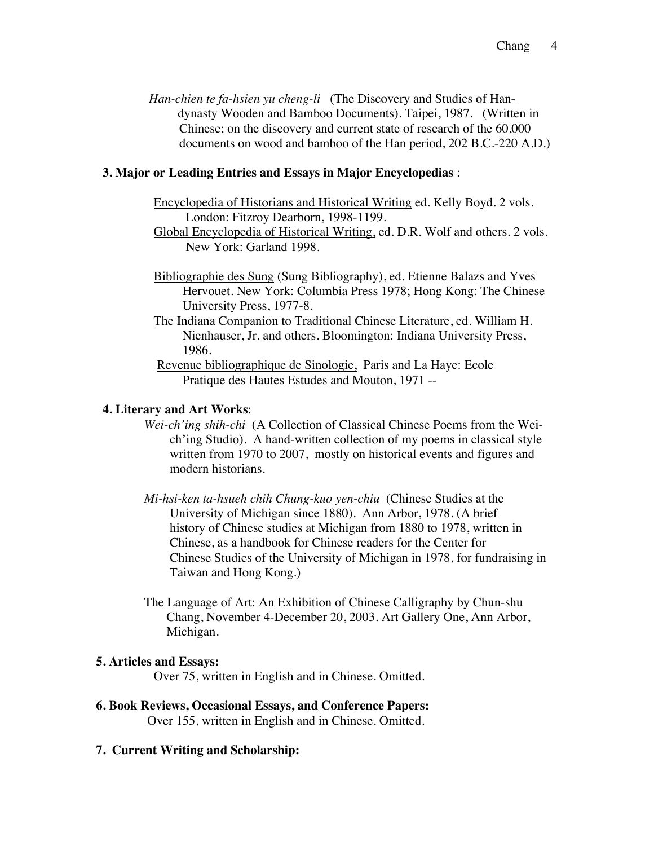*Han-chien te fa-hsien yu cheng-li* (The Discovery and Studies of Han dynasty Wooden and Bamboo Documents). Taipei, 1987. (Written in Chinese; on the discovery and current state of research of the 60,000 documents on wood and bamboo of the Han period, 202 B.C.-220 A.D.)

# **3. Major or Leading Entries and Essays in Major Encyclopedias** :

- Encyclopedia of Historians and Historical Writing ed. Kelly Boyd. 2 vols. London: Fitzroy Dearborn, 1998-1199.
- Global Encyclopedia of Historical Writing, ed. D.R. Wolf and others. 2 vols. New York: Garland 1998.
- Bibliographie des Sung (Sung Bibliography), ed. Etienne Balazs and Yves Hervouet. New York: Columbia Press 1978; Hong Kong: The Chinese University Press, 1977-8.
- The Indiana Companion to Traditional Chinese Literature, ed. William H. Nienhauser, Jr. and others. Bloomington: Indiana University Press, 1986.
- Revenue bibliographique de Sinologie, Paris and La Haye: Ecole Pratique des Hautes Estudes and Mouton, 1971 --

### **4. Literary and Art Works**:

- *Wei-ch'ing shih-chi* (A Collection of Classical Chinese Poems from the Wei ch'ing Studio). A hand-written collection of my poems in classical style written from 1970 to 2007, mostly on historical events and figures and modern historians.
- *Mi-hsi-ken ta-hsueh chih Chung-kuo yen-chiu* (Chinese Studies at the University of Michigan since 1880). Ann Arbor, 1978. (A brief history of Chinese studies at Michigan from 1880 to 1978, written in Chinese, as a handbook for Chinese readers for the Center for Chinese Studies of the University of Michigan in 1978, for fundraising in Taiwan and Hong Kong.)
- The Language of Art: An Exhibition of Chinese Calligraphy by Chun-shu Chang, November 4-December 20, 2003. Art Gallery One, Ann Arbor, Michigan.

#### **5. Articles and Essays:**

Over 75, written in English and in Chinese. Omitted.

**6. Book Reviews, Occasional Essays, and Conference Papers:** Over 155, written in English and in Chinese. Omitted.

# **7. Current Writing and Scholarship:**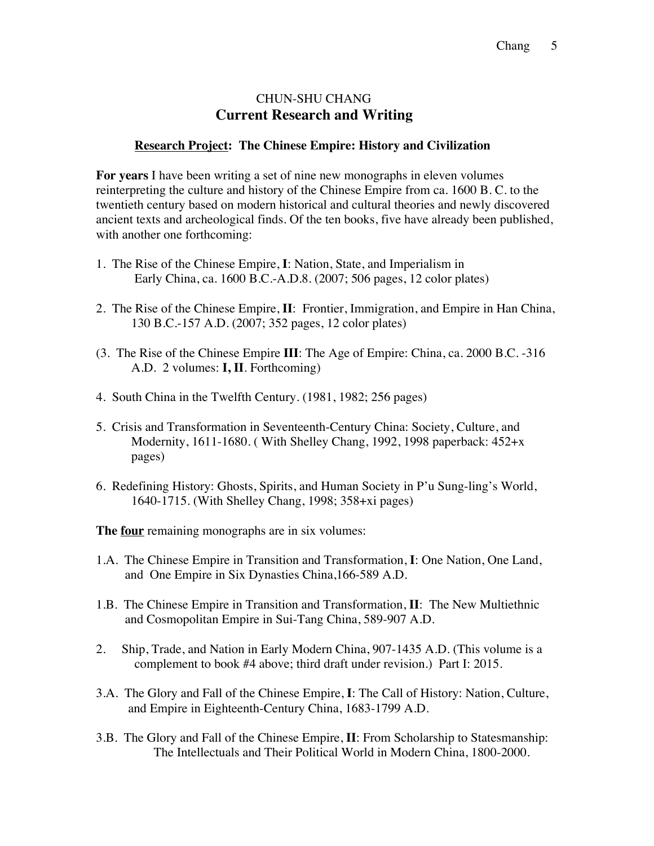# CHUN-SHU CHANG  **Current Research and Writing**

# **Research Project: The Chinese Empire: History and Civilization**

**For years** I have been writing a set of nine new monographs in eleven volumes reinterpreting the culture and history of the Chinese Empire from ca. 1600 B. C. to the twentieth century based on modern historical and cultural theories and newly discovered ancient texts and archeological finds. Of the ten books, five have already been published, with another one forthcoming:

- 1. The Rise of the Chinese Empire, **I**: Nation, State, and Imperialism in Early China, ca. 1600 B.C.-A.D.8. (2007; 506 pages, 12 color plates)
- 2. The Rise of the Chinese Empire, **II**: Frontier, Immigration, and Empire in Han China, 130 B.C.-157 A.D. (2007; 352 pages, 12 color plates)
- (3. The Rise of the Chinese Empire **III**: The Age of Empire: China, ca. 2000 B.C. -316 A.D. 2 volumes: **I, II**. Forthcoming)
- 4. South China in the Twelfth Century. (1981, 1982; 256 pages)
- 5. Crisis and Transformation in Seventeenth-Century China: Society, Culture, and Modernity, 1611-1680. ( With Shelley Chang, 1992, 1998 paperback: 452+x pages)
- 6. Redefining History: Ghosts, Spirits, and Human Society in P'u Sung-ling's World, 1640-1715. (With Shelley Chang, 1998; 358+xi pages)

**The four** remaining monographs are in six volumes:

- 1.A. The Chinese Empire in Transition and Transformation, **I**: One Nation, One Land, and One Empire in Six Dynasties China,166-589 A.D.
- 1.B. The Chinese Empire in Transition and Transformation, **II**: The New Multiethnic and Cosmopolitan Empire in Sui-Tang China, 589-907 A.D.
- 2. Ship, Trade, and Nation in Early Modern China, 907-1435 A.D. (This volume is a complement to book #4 above; third draft under revision.) Part I: 2015.
- 3.A. The Glory and Fall of the Chinese Empire, **I**: The Call of History: Nation, Culture, and Empire in Eighteenth-Century China, 1683-1799 A.D.
- 3.B. The Glory and Fall of the Chinese Empire, **II**: From Scholarship to Statesmanship: The Intellectuals and Their Political World in Modern China, 1800-2000.